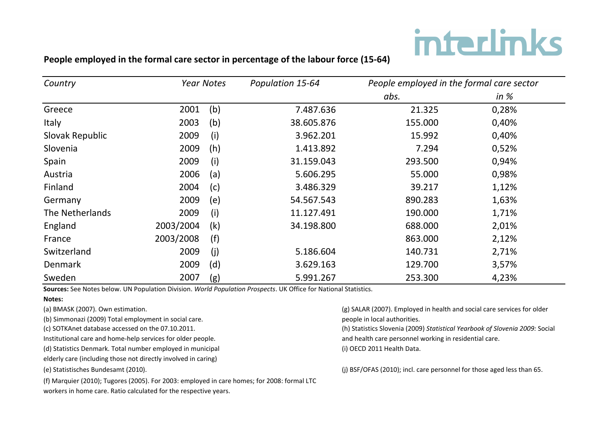# **interlinks**

### People employed in the formal care sector in percentage of the labour force (15-64)

| Country         | <b>Year Notes</b> |     | Population 15-64 | People employed in the formal care sector |        |
|-----------------|-------------------|-----|------------------|-------------------------------------------|--------|
|                 |                   |     |                  | abs.                                      | in $%$ |
| Greece          | 2001              | (b) | 7.487.636        | 21.325                                    | 0,28%  |
| Italy           | 2003              | (b) | 38.605.876       | 155.000                                   | 0,40%  |
| Slovak Republic | 2009              | (i) | 3.962.201        | 15.992                                    | 0,40%  |
| Slovenia        | 2009              | (h) | 1.413.892        | 7.294                                     | 0,52%  |
| Spain           | 2009              | (i) | 31.159.043       | 293.500                                   | 0,94%  |
| Austria         | 2006              | (a) | 5.606.295        | 55.000                                    | 0,98%  |
| Finland         | 2004              | (c) | 3.486.329        | 39.217                                    | 1,12%  |
| Germany         | 2009              | (e) | 54.567.543       | 890.283                                   | 1,63%  |
| The Netherlands | 2009              | (i) | 11.127.491       | 190.000                                   | 1,71%  |
| England         | 2003/2004         | (k) | 34.198.800       | 688.000                                   | 2,01%  |
| France          | 2003/2008         | (f) |                  | 863.000                                   | 2,12%  |
| Switzerland     | 2009              | (i) | 5.186.604        | 140.731                                   | 2,71%  |
| <b>Denmark</b>  | 2009              | (d) | 3.629.163        | 129.700                                   | 3,57%  |
| Sweden          | 2007              | (g) | 5.991.267        | 253.300                                   | 4,23%  |

Sources: See Notes below. UN Population Division. *World Population Prospects*. UK Office for National Statistics.

#### **Notes:&**

(a) BMASK (2007). Own estimation.

(b) Simmonazi (2009) Total employment in social care.

(c) SOTKAnet database accessed on the 07.10.2011.

Institutional care and home-help services for older people.

(d) Statistics Denmark. Total number employed in municipal

elderly care (including those not directly involved in caring)

(e) Statistisches Bundesamt (2010).

(f) Marquier (2010); Tugores (2005). For 2003: employed in care homes; for 2008: formal LTC workers in home care. Ratio calculated for the respective years.

(g) SALAR (2007). Employed in health and social care services for older people in local authorities.

(h) Statistics Slovenia (2009) Statistical Yearbook of Slovenia 2009: Social and health care personnel working in residential care.

(i) OECD 2011 Health Data.

(j) BSF/OFAS (2010); incl. care personnel for those aged less than 65.